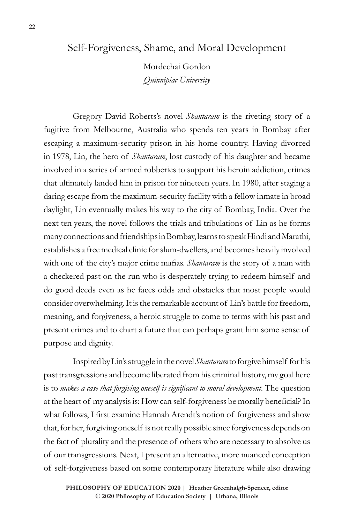# Self-Forgiveness, Shame, and Moral Development

Mordechai Gordon *Quinnipiac University*

Gregory David Roberts's novel *Shantaram* is the riveting story of a fugitive from Melbourne, Australia who spends ten years in Bombay after escaping a maximum-security prison in his home country. Having divorced in 1978, Lin, the hero of *Shantaram*, lost custody of his daughter and became involved in a series of armed robberies to support his heroin addiction, crimes that ultimately landed him in prison for nineteen years. In 1980, after staging a daring escape from the maximum-security facility with a fellow inmate in broad daylight, Lin eventually makes his way to the city of Bombay, India. Over the next ten years, the novel follows the trials and tribulations of Lin as he forms many connections and friendships in Bombay, learns to speak Hindi and Marathi, establishes a free medical clinic for slum-dwellers, and becomes heavily involved with one of the city's major crime mafias. *Shantaram* is the story of a man with a checkered past on the run who is desperately trying to redeem himself and do good deeds even as he faces odds and obstacles that most people would consider overwhelming. It is the remarkable account of Lin's battle for freedom, meaning, and forgiveness, a heroic struggle to come to terms with his past and present crimes and to chart a future that can perhaps grant him some sense of purpose and dignity.

Inspired by Lin's struggle in the novel *Shantaram* to forgive himself for his past transgressions and become liberated from his criminal history, my goal here is to *makes a case that forgiving oneself is significant to moral development*. The question at the heart of my analysis is: How can self-forgiveness be morally beneficial? In what follows, I first examine Hannah Arendt's notion of forgiveness and show that, for her, forgiving oneself is not really possible since forgiveness depends on the fact of plurality and the presence of others who are necessary to absolve us of our transgressions. Next, I present an alternative, more nuanced conception of self-forgiveness based on some contemporary literature while also drawing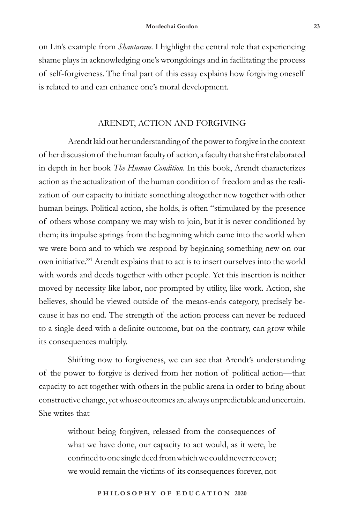on Lin's example from *Shantaram*. I highlight the central role that experiencing shame plays in acknowledging one's wrongdoings and in facilitating the process of self-forgiveness. The final part of this essay explains how forgiving oneself is related to and can enhance one's moral development.

## ARENDT, ACTION AND FORGIVING

Arendt laid out her understanding of the power to forgive in the context of her discussion of the human faculty of action, a faculty that she first elaborated in depth in her book *The Human Condition*. In this book, Arendt characterizes action as the actualization of the human condition of freedom and as the realization of our capacity to initiate something altogether new together with other human beings. Political action, she holds, is often "stimulated by the presence of others whose company we may wish to join, but it is never conditioned by them; its impulse springs from the beginning which came into the world when we were born and to which we respond by beginning something new on our own initiative."1 Arendt explains that to act is to insert ourselves into the world with words and deeds together with other people. Yet this insertion is neither moved by necessity like labor, nor prompted by utility, like work. Action, she believes, should be viewed outside of the means-ends category, precisely because it has no end. The strength of the action process can never be reduced to a single deed with a definite outcome, but on the contrary, can grow while its consequences multiply.

Shifting now to forgiveness, we can see that Arendt's understanding of the power to forgive is derived from her notion of political action—that capacity to act together with others in the public arena in order to bring about constructive change, yet whose outcomes are always unpredictable and uncertain. She writes that

> without being forgiven, released from the consequences of what we have done, our capacity to act would, as it were, be confined to one single deed from which we could never recover; we would remain the victims of its consequences forever, not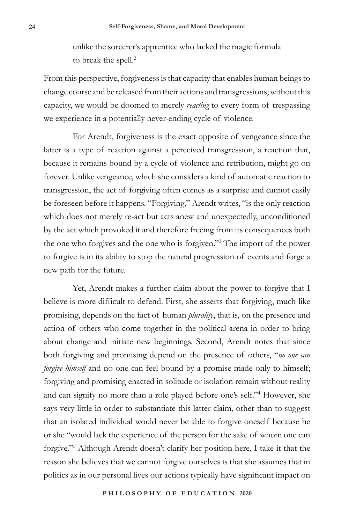unlike the sorcerer's apprentice who lacked the magic formula to break the spell.<sup>2</sup>

From this perspective, forgiveness is that capacity that enables human beings to change course and be released from their actions and transgressions; without this capacity, we would be doomed to merely *reacting* to every form of trespassing we experience in a potentially never-ending cycle of violence.

For Arendt, forgiveness is the exact opposite of vengeance since the latter is a type of reaction against a perceived transgression, a reaction that, because it remains bound by a cycle of violence and retribution, might go on forever. Unlike vengeance, which she considers a kind of automatic reaction to transgression, the act of forgiving often comes as a surprise and cannot easily be foreseen before it happens. "Forgiving," Arendt writes, "is the only reaction which does not merely re-act but acts anew and unexpectedly, unconditioned by the act which provoked it and therefore freeing from its consequences both the one who forgives and the one who is forgiven."3 The import of the power to forgive is in its ability to stop the natural progression of events and forge a new path for the future.

Yet, Arendt makes a further claim about the power to forgive that I believe is more difficult to defend. First, she asserts that forgiving, much like promising, depends on the fact of human *plurality*, that is, on the presence and action of others who come together in the political arena in order to bring about change and initiate new beginnings. Second, Arendt notes that since both forgiving and promising depend on the presence of others, "*no one can forgive himself* and no one can feel bound by a promise made only to himself; forgiving and promising enacted in solitude or isolation remain without reality and can signify no more than a role played before one's self."4 However, she says very little in order to substantiate this latter claim, other than to suggest that an isolated individual would never be able to forgive oneself because he or she "would lack the experience of the person for the sake of whom one can forgive."5 Although Arendt doesn't clarify her position here, I take it that the reason she believes that we cannot forgive ourselves is that she assumes that in politics as in our personal lives our actions typically have significant impact on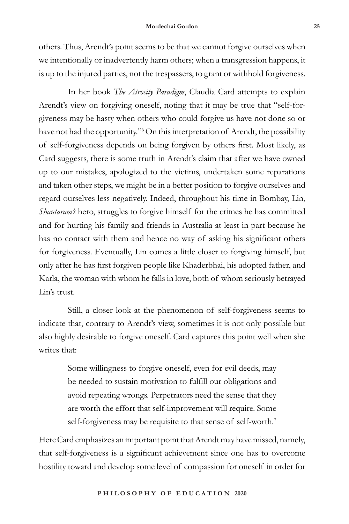others. Thus, Arendt's point seems to be that we cannot forgive ourselves when we intentionally or inadvertently harm others; when a transgression happens, it is up to the injured parties, not the trespassers, to grant or withhold forgiveness.

In her book *The Atrocity Paradigm*, Claudia Card attempts to explain Arendt's view on forgiving oneself, noting that it may be true that "self-forgiveness may be hasty when others who could forgive us have not done so or have not had the opportunity."6 On this interpretation of Arendt, the possibility of self-forgiveness depends on being forgiven by others first. Most likely, as Card suggests, there is some truth in Arendt's claim that after we have owned up to our mistakes, apologized to the victims, undertaken some reparations and taken other steps, we might be in a better position to forgive ourselves and regard ourselves less negatively. Indeed, throughout his time in Bombay, Lin, *Shantaram's* hero, struggles to forgive himself for the crimes he has committed and for hurting his family and friends in Australia at least in part because he has no contact with them and hence no way of asking his significant others for forgiveness. Eventually, Lin comes a little closer to forgiving himself, but only after he has first forgiven people like Khaderbhai, his adopted father, and Karla, the woman with whom he falls in love, both of whom seriously betrayed Lin's trust.

Still, a closer look at the phenomenon of self-forgiveness seems to indicate that, contrary to Arendt's view, sometimes it is not only possible but also highly desirable to forgive oneself. Card captures this point well when she writes that:

> Some willingness to forgive oneself, even for evil deeds, may be needed to sustain motivation to fulfill our obligations and avoid repeating wrongs. Perpetrators need the sense that they are worth the effort that self-improvement will require. Some self-forgiveness may be requisite to that sense of self-worth.<sup>7</sup>

Here Card emphasizes an important point that Arendt may have missed, namely, that self-forgiveness is a significant achievement since one has to overcome hostility toward and develop some level of compassion for oneself in order for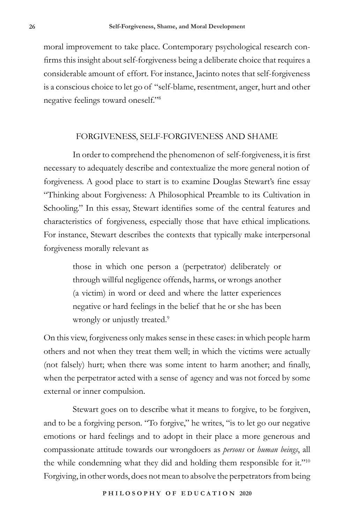moral improvement to take place. Contemporary psychological research confirms this insight about self-forgiveness being a deliberate choice that requires a considerable amount of effort. For instance, Jacinto notes that self-forgiveness is a conscious choice to let go of "self-blame, resentment, anger, hurt and other negative feelings toward oneself."8

### FORGIVENESS, SELF-FORGIVENESS AND SHAME

In order to comprehend the phenomenon of self-forgiveness, it is first necessary to adequately describe and contextualize the more general notion of forgiveness. A good place to start is to examine Douglas Stewart's fine essay "Thinking about Forgiveness: A Philosophical Preamble to its Cultivation in Schooling." In this essay, Stewart identifies some of the central features and characteristics of forgiveness, especially those that have ethical implications. For instance, Stewart describes the contexts that typically make interpersonal forgiveness morally relevant as

> those in which one person a (perpetrator) deliberately or through willful negligence offends, harms, or wrongs another (a victim) in word or deed and where the latter experiences negative or hard feelings in the belief that he or she has been wrongly or unjustly treated.<sup>9</sup>

On this view, forgiveness only makes sense in these cases: in which people harm others and not when they treat them well; in which the victims were actually (not falsely) hurt; when there was some intent to harm another; and finally, when the perpetrator acted with a sense of agency and was not forced by some external or inner compulsion.

Stewart goes on to describe what it means to forgive, to be forgiven, and to be a forgiving person. "To forgive," he writes, "is to let go our negative emotions or hard feelings and to adopt in their place a more generous and compassionate attitude towards our wrongdoers as *persons* or *human beings*, all the while condemning what they did and holding them responsible for it."<sup>10</sup> Forgiving, in other words, does not mean to absolve the perpetrators from being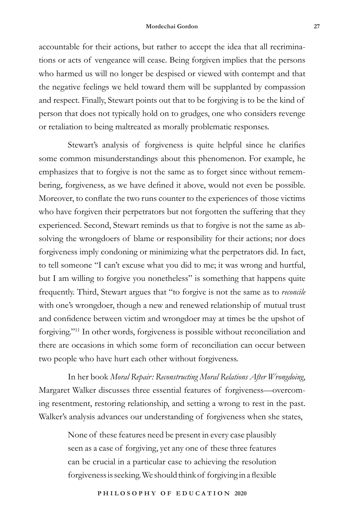#### **Mordechai Gordon 27**

accountable for their actions, but rather to accept the idea that all recriminations or acts of vengeance will cease. Being forgiven implies that the persons who harmed us will no longer be despised or viewed with contempt and that the negative feelings we held toward them will be supplanted by compassion and respect. Finally, Stewart points out that to be forgiving is to be the kind of person that does not typically hold on to grudges, one who considers revenge or retaliation to being maltreated as morally problematic responses.

Stewart's analysis of forgiveness is quite helpful since he clarifies some common misunderstandings about this phenomenon. For example, he emphasizes that to forgive is not the same as to forget since without remembering, forgiveness, as we have defined it above, would not even be possible. Moreover, to conflate the two runs counter to the experiences of those victims who have forgiven their perpetrators but not forgotten the suffering that they experienced. Second, Stewart reminds us that to forgive is not the same as absolving the wrongdoers of blame or responsibility for their actions; nor does forgiveness imply condoning or minimizing what the perpetrators did. In fact, to tell someone "I can't excuse what you did to me; it was wrong and hurtful, but I am willing to forgive you nonetheless" is something that happens quite frequently. Third, Stewart argues that "to forgive is not the same as to *reconcile* with one's wrongdoer, though a new and renewed relationship of mutual trust and confidence between victim and wrongdoer may at times be the upshot of forgiving."11 In other words, forgiveness is possible without reconciliation and there are occasions in which some form of reconciliation can occur between two people who have hurt each other without forgiveness.

In her book *Moral Repair: Reconstructing Moral Relations After Wrongdoing*, Margaret Walker discusses three essential features of forgiveness—overcoming resentment, restoring relationship, and setting a wrong to rest in the past. Walker's analysis advances our understanding of forgiveness when she states,

> None of these features need be present in every case plausibly seen as a case of forgiving, yet any one of these three features can be crucial in a particular case to achieving the resolution forgiveness is seeking. We should think of forgiving in a flexible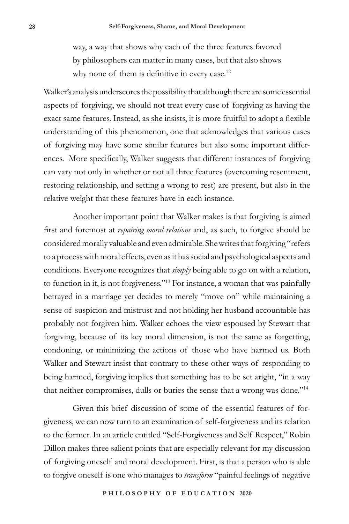way, a way that shows why each of the three features favored by philosophers can matter in many cases, but that also shows why none of them is definitive in every case.<sup>12</sup>

Walker's analysis underscores the possibility that although there are some essential aspects of forgiving, we should not treat every case of forgiving as having the exact same features. Instead, as she insists, it is more fruitful to adopt a flexible understanding of this phenomenon, one that acknowledges that various cases of forgiving may have some similar features but also some important differences. More specifically, Walker suggests that different instances of forgiving can vary not only in whether or not all three features (overcoming resentment, restoring relationship, and setting a wrong to rest) are present, but also in the relative weight that these features have in each instance.

Another important point that Walker makes is that forgiving is aimed first and foremost at *repairing moral relations* and, as such, to forgive should be considered morally valuable and even admirable. She writes that forgiving "refers to a process with moral effects, even as it has social and psychological aspects and conditions. Everyone recognizes that *simply* being able to go on with a relation, to function in it, is not forgiveness."13 For instance, a woman that was painfully betrayed in a marriage yet decides to merely "move on" while maintaining a sense of suspicion and mistrust and not holding her husband accountable has probably not forgiven him. Walker echoes the view espoused by Stewart that forgiving, because of its key moral dimension, is not the same as forgetting, condoning, or minimizing the actions of those who have harmed us. Both Walker and Stewart insist that contrary to these other ways of responding to being harmed, forgiving implies that something has to be set aright, "in a way that neither compromises, dulls or buries the sense that a wrong was done."14

Given this brief discussion of some of the essential features of forgiveness, we can now turn to an examination of self-forgiveness and its relation to the former. In an article entitled "Self-Forgiveness and Self Respect," Robin Dillon makes three salient points that are especially relevant for my discussion of forgiving oneself and moral development. First, is that a person who is able to forgive oneself is one who manages to *transform* "painful feelings of negative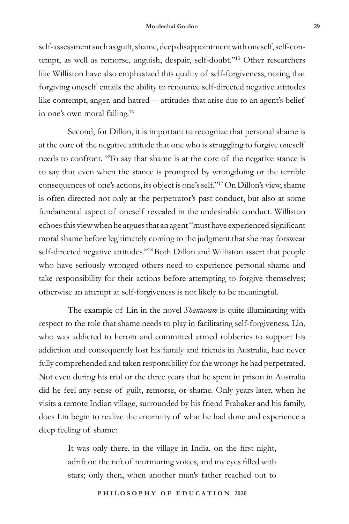self-assessment such as guilt, shame, deep disappointment with oneself, self-contempt, as well as remorse, anguish, despair, self-doubt."15 Other researchers like Williston have also emphasized this quality of self-forgiveness, noting that forgiving oneself entails the ability to renounce self-directed negative attitudes like contempt, anger, and hatred— attitudes that arise due to an agent's belief in one's own moral failing.16

Second, for Dillon, it is important to recognize that personal shame is at the core of the negative attitude that one who is struggling to forgive oneself needs to confront. "To say that shame is at the core of the negative stance is to say that even when the stance is prompted by wrongdoing or the terrible consequences of one's actions, its object is one's self."17 On Dillon's view, shame is often directed not only at the perpetrator's past conduct, but also at some fundamental aspect of oneself revealed in the undesirable conduct. Williston echoes this view when he argues that an agent "must have experienced significant moral shame before legitimately coming to the judgment that she may forswear self-directed negative attitudes."<sup>18</sup> Both Dillon and Williston assert that people who have seriously wronged others need to experience personal shame and take responsibility for their actions before attempting to forgive themselves; otherwise an attempt at self-forgiveness is not likely to be meaningful.

The example of Lin in the novel *Shantaram* is quite illuminating with respect to the role that shame needs to play in facilitating self-forgiveness. Lin, who was addicted to heroin and committed armed robberies to support his addiction and consequently lost his family and friends in Australia, had never fully comprehended and taken responsibility for the wrongs he had perpetrated. Not even during his trial or the three years that he spent in prison in Australia did he feel any sense of guilt, remorse, or shame. Only years later, when he visits a remote Indian village, surrounded by his friend Prabaker and his family, does Lin begin to realize the enormity of what he had done and experience a deep feeling of shame:

> It was only there, in the village in India, on the first night, adrift on the raft of murmuring voices, and my eyes filled with stars; only then, when another man's father reached out to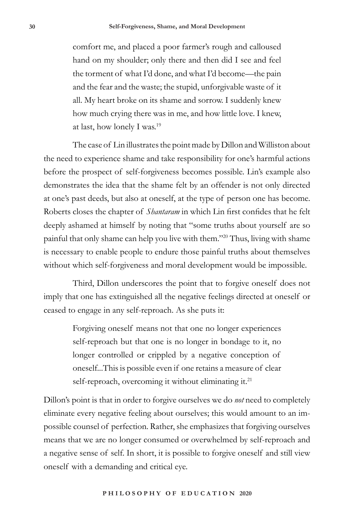comfort me, and placed a poor farmer's rough and calloused hand on my shoulder; only there and then did I see and feel the torment of what I'd done, and what I'd become—the pain and the fear and the waste; the stupid, unforgivable waste of it all. My heart broke on its shame and sorrow. I suddenly knew how much crying there was in me, and how little love. I knew, at last, how lonely I was.19

The case of Lin illustrates the point made by Dillon and Williston about the need to experience shame and take responsibility for one's harmful actions before the prospect of self-forgiveness becomes possible. Lin's example also demonstrates the idea that the shame felt by an offender is not only directed at one's past deeds, but also at oneself, at the type of person one has become. Roberts closes the chapter of *Shantaram* in which Lin first confides that he felt deeply ashamed at himself by noting that "some truths about yourself are so painful that only shame can help you live with them."20 Thus, living with shame is necessary to enable people to endure those painful truths about themselves without which self-forgiveness and moral development would be impossible.

Third, Dillon underscores the point that to forgive oneself does not imply that one has extinguished all the negative feelings directed at oneself or ceased to engage in any self-reproach. As she puts it:

> Forgiving oneself means not that one no longer experiences self-reproach but that one is no longer in bondage to it, no longer controlled or crippled by a negative conception of oneself...This is possible even if one retains a measure of clear self-reproach, overcoming it without eliminating it.<sup>21</sup>

Dillon's point is that in order to forgive ourselves we do *not* need to completely eliminate every negative feeling about ourselves; this would amount to an impossible counsel of perfection. Rather, she emphasizes that forgiving ourselves means that we are no longer consumed or overwhelmed by self-reproach and a negative sense of self. In short, it is possible to forgive oneself and still view oneself with a demanding and critical eye.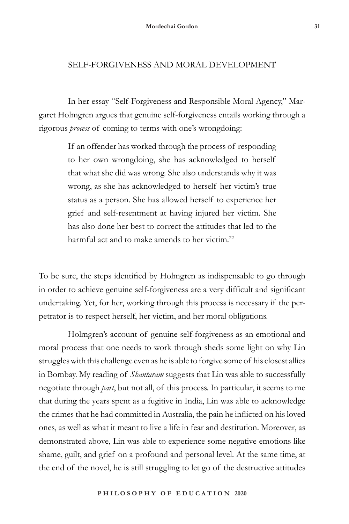### SELF-FORGIVENESS AND MORAL DEVELOPMENT

In her essay "Self-Forgiveness and Responsible Moral Agency," Margaret Holmgren argues that genuine self-forgiveness entails working through a rigorous *process* of coming to terms with one's wrongdoing:

> If an offender has worked through the process of responding to her own wrongdoing, she has acknowledged to herself that what she did was wrong. She also understands why it was wrong, as she has acknowledged to herself her victim's true status as a person. She has allowed herself to experience her grief and self-resentment at having injured her victim. She has also done her best to correct the attitudes that led to the harmful act and to make amends to her victim.<sup>22</sup>

To be sure, the steps identified by Holmgren as indispensable to go through in order to achieve genuine self-forgiveness are a very difficult and significant undertaking. Yet, for her, working through this process is necessary if the perpetrator is to respect herself, her victim, and her moral obligations.

Holmgren's account of genuine self-forgiveness as an emotional and moral process that one needs to work through sheds some light on why Lin struggles with this challenge even as he is able to forgive some of his closest allies in Bombay. My reading of *Shantaram* suggests that Lin was able to successfully negotiate through *part*, but not all, of this process. In particular, it seems to me that during the years spent as a fugitive in India, Lin was able to acknowledge the crimes that he had committed in Australia, the pain he inflicted on his loved ones, as well as what it meant to live a life in fear and destitution. Moreover, as demonstrated above, Lin was able to experience some negative emotions like shame, guilt, and grief on a profound and personal level. At the same time, at the end of the novel, he is still struggling to let go of the destructive attitudes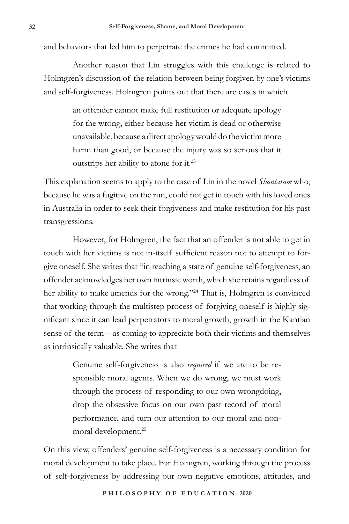and behaviors that led him to perpetrate the crimes he had committed.

Another reason that Lin struggles with this challenge is related to Holmgren's discussion of the relation between being forgiven by one's victims and self-forgiveness. Holmgren points out that there are cases in which

> an offender cannot make full restitution or adequate apology for the wrong, either because her victim is dead or otherwise unavailable, because a direct apology would do the victim more harm than good, or because the injury was so serious that it outstrips her ability to atone for it.23

This explanation seems to apply to the case of Lin in the novel *Shantaram* who, because he was a fugitive on the run, could not get in touch with his loved ones in Australia in order to seek their forgiveness and make restitution for his past transgressions.

However, for Holmgren, the fact that an offender is not able to get in touch with her victims is not in-itself sufficient reason not to attempt to forgive oneself. She writes that "in reaching a state of genuine self-forgiveness, an offender acknowledges her own intrinsic worth, which she retains regardless of her ability to make amends for the wrong."<sup>24</sup> That is, Holmgren is convinced that working through the multistep process of forgiving oneself is highly significant since it can lead perpetrators to moral growth, growth in the Kantian sense of the term—as coming to appreciate both their victims and themselves as intrinsically valuable. She writes that

> Genuine self-forgiveness is also *required* if we are to be responsible moral agents. When we do wrong, we must work through the process of responding to our own wrongdoing, drop the obsessive focus on our own past record of moral performance, and turn our attention to our moral and nonmoral development.25

On this view, offenders' genuine self-forgiveness is a necessary condition for moral development to take place. For Holmgren, working through the process of self-forgiveness by addressing our own negative emotions, attitudes, and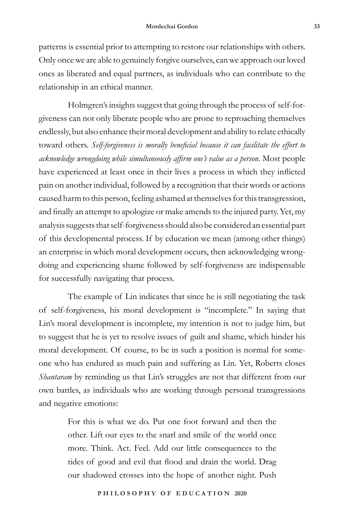patterns is essential prior to attempting to restore our relationships with others. Only once we are able to genuinely forgive ourselves, can we approach our loved ones as liberated and equal partners, as individuals who can contribute to the relationship in an ethical manner.

Holmgren's insights suggest that going through the process of self-forgiveness can not only liberate people who are prone to reproaching themselves endlessly, but also enhance their moral development and ability to relate ethically toward others. *Self-forgiveness is morally beneficial because it can facilitate the effort to acknowledge wrongdoing while simultaneously affirm one's value as a person*. Most people have experienced at least once in their lives a process in which they inflicted pain on another individual, followed by a recognition that their words or actions caused harm to this person, feeling ashamed at themselves for this transgression, and finally an attempt to apologize or make amends to the injured party. Yet, my analysis suggests that self-forgiveness should also be considered an essential part of this developmental process. If by education we mean (among other things) an enterprise in which moral development occurs, then acknowledging wrongdoing and experiencing shame followed by self-forgiveness are indispensable for successfully navigating that process*.*

The example of Lin indicates that since he is still negotiating the task of self-forgiveness, his moral development is "incomplete." In saying that Lin's moral development is incomplete, my intention is not to judge him, but to suggest that he is yet to resolve issues of guilt and shame, which hinder his moral development. Of course, to be in such a position is normal for someone who has endured as much pain and suffering as Lin. Yet, Roberts closes *Shantaram* by reminding us that Lin's struggles are not that different from our own battles, as individuals who are working through personal transgressions and negative emotions:

> For this is what we do. Put one foot forward and then the other. Lift our eyes to the snarl and smile of the world once more. Think. Act. Feel. Add our little consequences to the tides of good and evil that flood and drain the world. Drag our shadowed crosses into the hope of another night. Push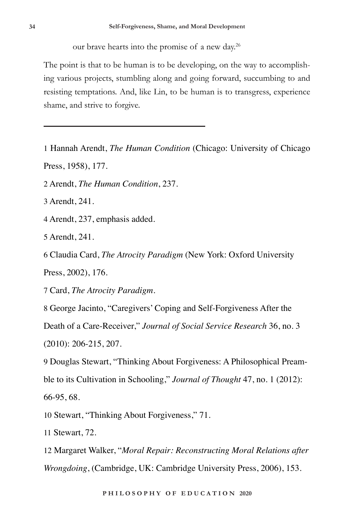our brave hearts into the promise of a new day.<sup>26</sup>

The point is that to be human is to be developing, on the way to accomplishing various projects, stumbling along and going forward, succumbing to and resisting temptations. And, like Lin, to be human is to transgress, experience shame, and strive to forgive.

1 Hannah Arendt, *The Human Condition* (Chicago: University of Chicago Press, 1958), 177.

2 Arendt, *The Human Condition*, 237.

3 Arendt, 241.

4 Arendt, 237, emphasis added.

5 Arendt, 241.

6 Claudia Card, *The Atrocity Paradigm* (New York: Oxford University

Press, 2002), 176.

7 Card, *The Atrocity Paradigm*.

8 George Jacinto, "Caregivers' Coping and Self-Forgiveness After the

Death of a Care-Receiver," *Journal of Social Service Research* 36, no. 3

(2010): 206-215, 207.

9 Douglas Stewart, "Thinking About Forgiveness: A Philosophical Preamble to its Cultivation in Schooling," *Journal of Thought* 47, no. 1 (2012): 66-95, 68.

10 Stewart, "Thinking About Forgiveness," 71.

11 Stewart, 72.

12 Margaret Walker, "*Moral Repair: Reconstructing Moral Relations after Wrongdoing*, (Cambridge, UK: Cambridge University Press, 2006), 153.